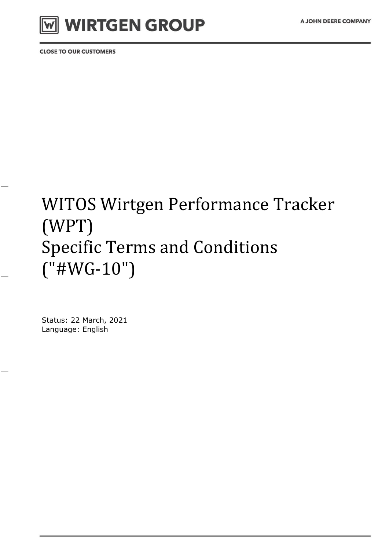

**CLOSE TO OUR CUSTOMERS** 

# WITOS Wirtgen Performance Tracker (WPT) Specific Terms and Conditions ("#WG-10")

Status: 22 March, 2021 Language: English